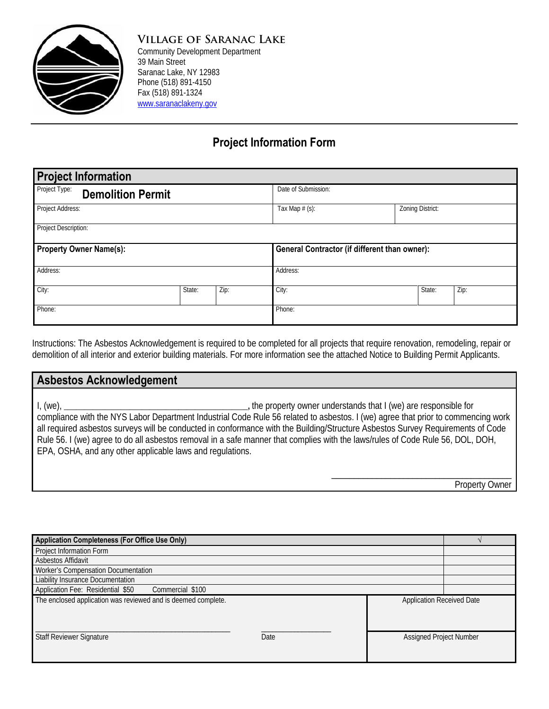

**Village of Saranac Lake** Community Development Department 39 Main Street Saranac Lake, NY 12983 Phone (518) 891-4150 Fax (518) 891-1324 [www.saranaclakeny.gov](http://www.saranaclakeny.gov/)

## **Project Information Form**

| <b>Project Information</b>                |        |      |                                                      |                  |      |  |  |  |  |
|-------------------------------------------|--------|------|------------------------------------------------------|------------------|------|--|--|--|--|
| Project Type:<br><b>Demolition Permit</b> |        |      | Date of Submission:                                  |                  |      |  |  |  |  |
| Project Address:                          |        |      | Tax Map $# (s)$ :                                    | Zoning District: |      |  |  |  |  |
| Project Description:                      |        |      |                                                      |                  |      |  |  |  |  |
| <b>Property Owner Name(s):</b>            |        |      | <b>General Contractor (if different than owner):</b> |                  |      |  |  |  |  |
| Address:                                  |        |      | Address:                                             |                  |      |  |  |  |  |
| City:                                     | State: | Zip: | City:                                                | State:           | Zip: |  |  |  |  |
| Phone:                                    |        |      | Phone:                                               |                  |      |  |  |  |  |

Instructions: The Asbestos Acknowledgement is required to be completed for all projects that require renovation, remodeling, repair or demolition of all interior and exterior building materials. For more information see the attached Notice to Building Permit Applicants.

| <b>Asbestos Acknowledgement</b>                                                                                                                                                                                                                                                                                                                                                                                                                                                                                                                      |
|------------------------------------------------------------------------------------------------------------------------------------------------------------------------------------------------------------------------------------------------------------------------------------------------------------------------------------------------------------------------------------------------------------------------------------------------------------------------------------------------------------------------------------------------------|
| , the property owner understands that I (we) are responsible for<br>$I,$ (we),<br>compliance with the NYS Labor Department Industrial Code Rule 56 related to asbestos. I (we) agree that prior to commencing work<br>all required asbestos surveys will be conducted in conformance with the Building/Structure Asbestos Survey Requirements of Code<br>Rule 56. I (we) agree to do all asbestos removal in a safe manner that complies with the laws/rules of Code Rule 56, DOL, DOH,<br>EPA, OSHA, and any other applicable laws and regulations. |
| Property Owner                                                                                                                                                                                                                                                                                                                                                                                                                                                                                                                                       |

| Application Completeness (For Office Use Only)                |      |                                  |                         |  |  |
|---------------------------------------------------------------|------|----------------------------------|-------------------------|--|--|
| <b>Project Information Form</b>                               |      |                                  |                         |  |  |
| Asbestos Affidavit                                            |      |                                  |                         |  |  |
| Worker's Compensation Documentation                           |      |                                  |                         |  |  |
| <b>Liability Insurance Documentation</b>                      |      |                                  |                         |  |  |
| Application Fee: Residential \$50<br>Commercial \$100         |      |                                  |                         |  |  |
| The enclosed application was reviewed and is deemed complete. |      | <b>Application Received Date</b> |                         |  |  |
|                                                               |      |                                  |                         |  |  |
|                                                               |      |                                  |                         |  |  |
|                                                               |      |                                  |                         |  |  |
| <b>Staff Reviewer Signature</b>                               | Date |                                  | Assigned Project Number |  |  |
|                                                               |      |                                  |                         |  |  |
|                                                               |      |                                  |                         |  |  |